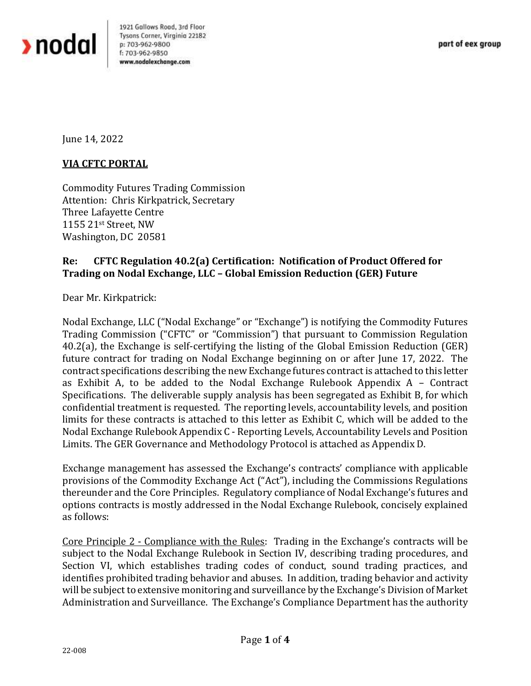

1921 Gallows Road, 3rd Floor Tysons Corner, Virginia 22182 p: 703-962-9800 f: 703-962-9850 www.nodolexchange.com

June 14, 2022

## **VIA CFTC PORTAL**

Commodity Futures Trading Commission Attention: Chris Kirkpatrick, Secretary Three Lafayette Centre 1155 21st Street, NW Washington, DC 20581

## **Re: CFTC Regulation 40.2(a) Certification: Notification of Product Offered for Trading on Nodal Exchange, LLC – Global Emission Reduction (GER) Future**

Dear Mr. Kirkpatrick:

Nodal Exchange, LLC ("Nodal Exchange" or "Exchange") is notifying the Commodity Futures Trading Commission ("CFTC" or "Commission") that pursuant to Commission Regulation 40.2(a), the Exchange is self-certifying the listing of the Global Emission Reduction (GER) future contract for trading on Nodal Exchange beginning on or after June 17, 2022. The contract specifications describing the new Exchange futures contract is attached to this letter as Exhibit A, to be added to the Nodal Exchange Rulebook Appendix A – Contract Specifications. The deliverable supply analysis has been segregated as Exhibit B, for which confidential treatment is requested. The reporting levels, accountability levels, and position limits for these contracts is attached to this letter as Exhibit C, which will be added to the Nodal Exchange Rulebook Appendix C - Reporting Levels, Accountability Levels and Position Limits. The GER Governance and Methodology Protocol is attached as Appendix D.

Exchange management has assessed the Exchange's contracts' compliance with applicable provisions of the Commodity Exchange Act ("Act"), including the Commissions Regulations thereunder and the Core Principles. Regulatory compliance of Nodal Exchange's futures and options contracts is mostly addressed in the Nodal Exchange Rulebook, concisely explained as follows:

Core Principle 2 - Compliance with the Rules: Trading in the Exchange's contracts will be subject to the Nodal Exchange Rulebook in Section IV, describing trading procedures, and Section VI, which establishes trading codes of conduct, sound trading practices, and identifies prohibited trading behavior and abuses. In addition, trading behavior and activity will be subject to extensive monitoring and surveillance by the Exchange's Division of Market Administration and Surveillance. The Exchange's Compliance Department has the authority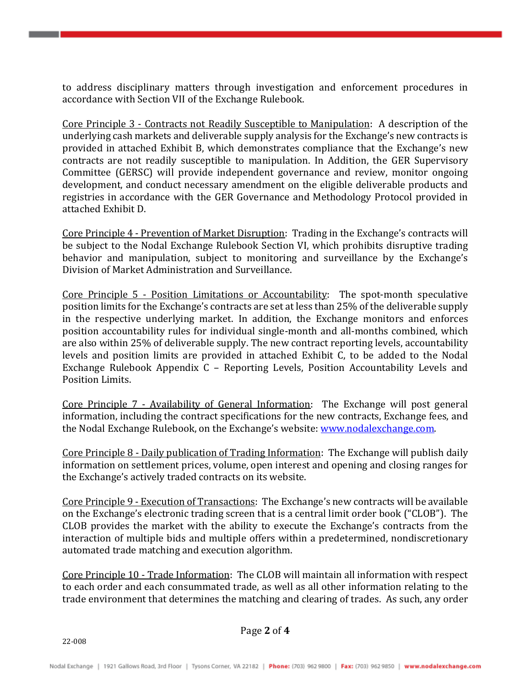to address disciplinary matters through investigation and enforcement procedures in accordance with Section VII of the Exchange Rulebook.

Core Principle 3 - Contracts not Readily Susceptible to Manipulation: A description of the underlying cash markets and deliverable supply analysis for the Exchange's new contracts is provided in attached Exhibit B, which demonstrates compliance that the Exchange's new contracts are not readily susceptible to manipulation. In Addition, the GER Supervisory Committee (GERSC) will provide independent governance and review, monitor ongoing development, and conduct necessary amendment on the eligible deliverable products and registries in accordance with the GER Governance and Methodology Protocol provided in attached Exhibit D.

Core Principle 4 - Prevention of Market Disruption: Trading in the Exchange's contracts will be subject to the Nodal Exchange Rulebook Section VI, which prohibits disruptive trading behavior and manipulation, subject to monitoring and surveillance by the Exchange's Division of Market Administration and Surveillance.

Core Principle 5 - Position Limitations or Accountability: The spot-month speculative position limits for the Exchange's contracts are set at less than 25% of the deliverable supply in the respective underlying market. In addition, the Exchange monitors and enforces position accountability rules for individual single-month and all-months combined, which are also within 25% of deliverable supply. The new contract reporting levels, accountability levels and position limits are provided in attached Exhibit C, to be added to the Nodal Exchange Rulebook Appendix C – Reporting Levels, Position Accountability Levels and Position Limits.

Core Principle 7 - Availability of General Information: The Exchange will post general information, including the contract specifications for the new contracts, Exchange fees, and the Nodal Exchange Rulebook, on the Exchange's website: [www.nodalexchange.com.](http://www.nodalexchange.com/)

Core Principle 8 - Daily publication of Trading Information: The Exchange will publish daily information on settlement prices, volume, open interest and opening and closing ranges for the Exchange's actively traded contracts on its website.

Core Principle 9 - Execution of Transactions: The Exchange's new contracts will be available on the Exchange's electronic trading screen that is a central limit order book ("CLOB"). The CLOB provides the market with the ability to execute the Exchange's contracts from the interaction of multiple bids and multiple offers within a predetermined, nondiscretionary automated trade matching and execution algorithm.

Core Principle 10 - Trade Information: The CLOB will maintain all information with respect to each order and each consummated trade, as well as all other information relating to the trade environment that determines the matching and clearing of trades. As such, any order

Page **2** of **4**

22-008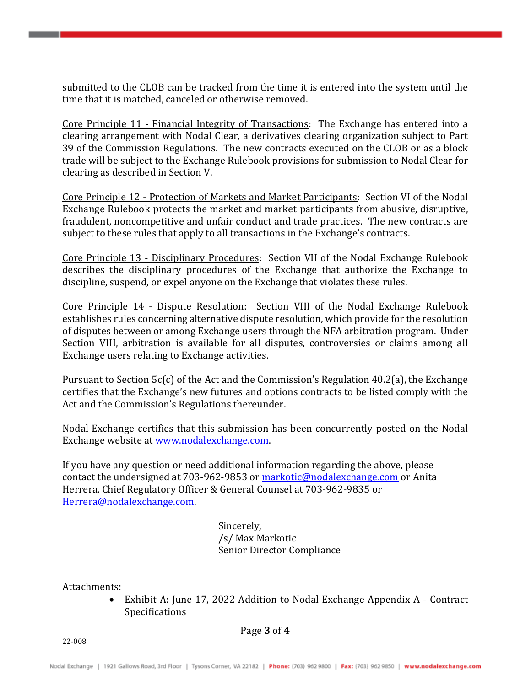submitted to the CLOB can be tracked from the time it is entered into the system until the time that it is matched, canceled or otherwise removed.

Core Principle 11 - Financial Integrity of Transactions: The Exchange has entered into a clearing arrangement with Nodal Clear, a derivatives clearing organization subject to Part 39 of the Commission Regulations. The new contracts executed on the CLOB or as a block trade will be subject to the Exchange Rulebook provisions for submission to Nodal Clear for clearing as described in Section V.

Core Principle 12 - Protection of Markets and Market Participants: Section VI of the Nodal Exchange Rulebook protects the market and market participants from abusive, disruptive, fraudulent, noncompetitive and unfair conduct and trade practices. The new contracts are subject to these rules that apply to all transactions in the Exchange's contracts.

Core Principle 13 - Disciplinary Procedures: Section VII of the Nodal Exchange Rulebook describes the disciplinary procedures of the Exchange that authorize the Exchange to discipline, suspend, or expel anyone on the Exchange that violates these rules.

Core Principle 14 - Dispute Resolution: Section VIII of the Nodal Exchange Rulebook establishes rules concerning alternative dispute resolution, which provide for the resolution of disputes between or among Exchange users through the NFA arbitration program. Under Section VIII, arbitration is available for all disputes, controversies or claims among all Exchange users relating to Exchange activities.

Pursuant to Section 5c(c) of the Act and the Commission's Regulation 40.2(a), the Exchange certifies that the Exchange's new futures and options contracts to be listed comply with the Act and the Commission's Regulations thereunder.

Nodal Exchange certifies that this submission has been concurrently posted on the Nodal Exchange website at [www.nodalexchange.com.](http://www.nodalexchange.com/)

If you have any question or need additional information regarding the above, please contact the undersigned at 703-962-9853 or [markotic@nodalexchange.com](mailto:markotic@nodalexchange.com) or Anita Herrera, Chief Regulatory Officer & General Counsel at 703-962-9835 or [Herrera@nodalexchange.com.](mailto:Herrera@nodalexchange.com)

> Sincerely, /s/ Max Markotic Senior Director Compliance

Attachments:

• Exhibit A: June 17, 2022 Addition to Nodal Exchange Appendix A - Contract Specifications

Page **3** of **4**

22-008